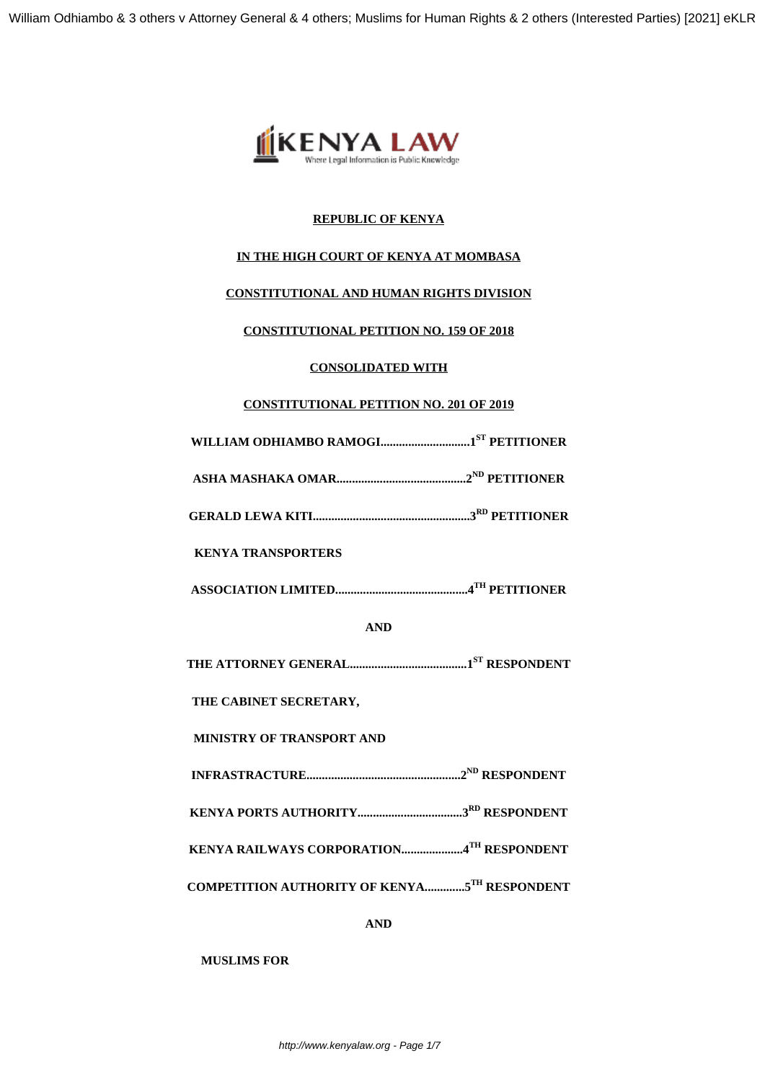

## **REPUBLIC OF KENYA**

## **IN THE HIGH COURT OF KENYA AT MOMBASA**

# **CONSTITUTIONAL AND HUMAN RIGHTS DIVISION**

### **CONSTITUTIONAL PETITION NO. 159 OF 2018**

# **CONSOLIDATED WITH**

# **CONSTITUTIONAL PETITION NO. 201 OF 2019**

**WILLIAM ODHIAMBO RAMOGI.............................1ST PETITIONER**

**ASHA MASHAKA OMAR..........................................2ND PETITIONER**

**GERALD LEWA KITI...................................................3RD PETITIONER**

### **KENYA TRANSPORTERS**

**ASSOCIATION LIMITED...........................................4TH PETITIONER**

**AND**

**THE ATTORNEY GENERAL......................................1ST RESPONDENT**

**THE CABINET SECRETARY,**

**MINISTRY OF TRANSPORT AND**

**INFRASTRACTURE..................................................2ND RESPONDENT**

**KENYA PORTS AUTHORITY..................................3RD RESPONDENT**

**KENYA RAILWAYS CORPORATION....................4TH RESPONDENT**

**COMPETITION AUTHORITY OF KENYA.............5TH RESPONDENT**

**AND**

**MUSLIMS FOR**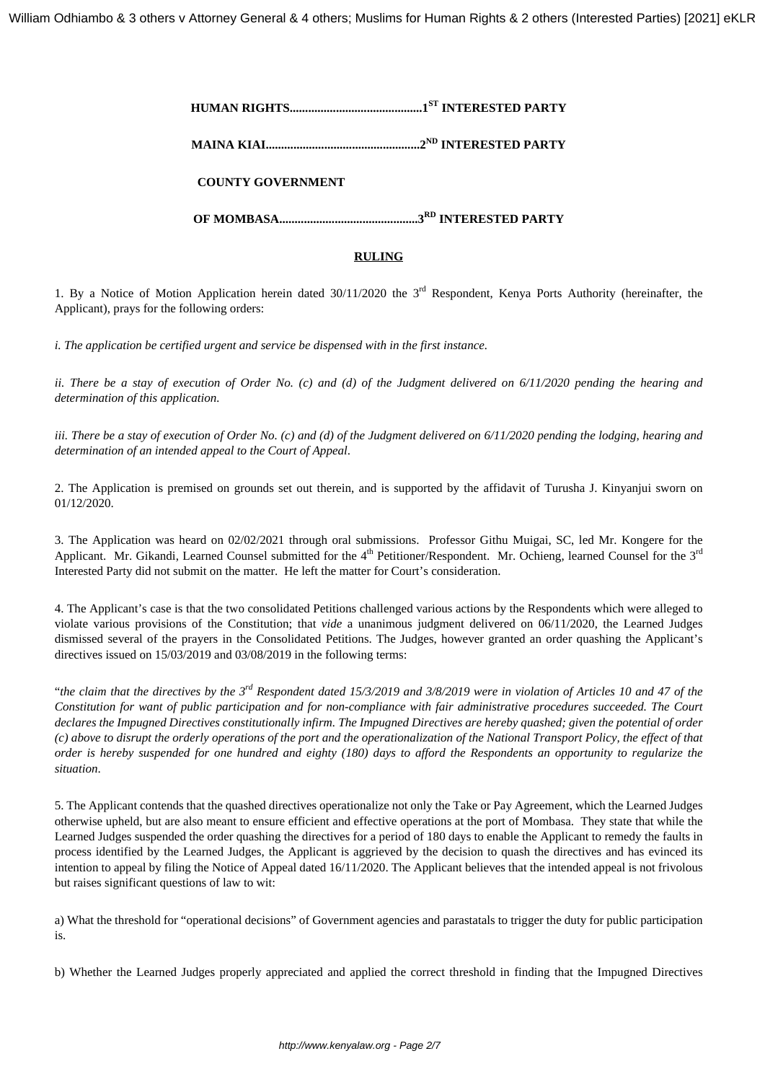**HUMAN RIGHTS...........................................1ST INTERESTED PARTY**

**MAINA KIAI..................................................2ND INTERESTED PARTY**

**COUNTY GOVERNMENT**

**OF MOMBASA.............................................3RD INTERESTED PARTY**

### **RULING**

1. By a Notice of Motion Application herein dated  $30/11/2020$  the  $3<sup>rd</sup>$  Respondent, Kenya Ports Authority (hereinafter, the Applicant), prays for the following orders:

*i. The application be certified urgent and service be dispensed with in the first instance.*

*ii. There be a stay of execution of Order No. (c) and (d) of the Judgment delivered on 6/11/2020 pending the hearing and determination of this application.*

*iii. There be a stay of execution of Order No. (c) and (d) of the Judgment delivered on 6/11/2020 pending the lodging, hearing and determination of an intended appeal to the Court of Appeal*.

2. The Application is premised on grounds set out therein, and is supported by the affidavit of Turusha J. Kinyanjui sworn on 01/12/2020.

3. The Application was heard on 02/02/2021 through oral submissions. Professor Githu Muigai, SC, led Mr. Kongere for the Applicant. Mr. Gikandi, Learned Counsel submitted for the  $4<sup>th</sup>$  Petitioner/Respondent. Mr. Ochieng, learned Counsel for the  $3<sup>rd</sup>$ Interested Party did not submit on the matter. He left the matter for Court's consideration.

4. The Applicant's case is that the two consolidated Petitions challenged various actions by the Respondents which were alleged to violate various provisions of the Constitution; that *vide* a unanimous judgment delivered on 06/11/2020, the Learned Judges dismissed several of the prayers in the Consolidated Petitions. The Judges, however granted an order quashing the Applicant's directives issued on 15/03/2019 and 03/08/2019 in the following terms:

"*the claim that the directives by the 3rd Respondent dated 15/3/2019 and 3/8/2019 were in violation of Articles 10 and 47 of the Constitution for want of public participation and for non-compliance with fair administrative procedures succeeded. The Court declares the Impugned Directives constitutionally infirm. The Impugned Directives are hereby quashed; given the potential of order (c) above to disrupt the orderly operations of the port and the operationalization of the National Transport Policy, the effect of that order is hereby suspended for one hundred and eighty (180) days to afford the Respondents an opportunity to regularize the situation*.

5. The Applicant contends that the quashed directives operationalize not only the Take or Pay Agreement, which the Learned Judges otherwise upheld, but are also meant to ensure efficient and effective operations at the port of Mombasa. They state that while the Learned Judges suspended the order quashing the directives for a period of 180 days to enable the Applicant to remedy the faults in process identified by the Learned Judges, the Applicant is aggrieved by the decision to quash the directives and has evinced its intention to appeal by filing the Notice of Appeal dated 16/11/2020. The Applicant believes that the intended appeal is not frivolous but raises significant questions of law to wit:

a) What the threshold for "operational decisions" of Government agencies and parastatals to trigger the duty for public participation is.

b) Whether the Learned Judges properly appreciated and applied the correct threshold in finding that the Impugned Directives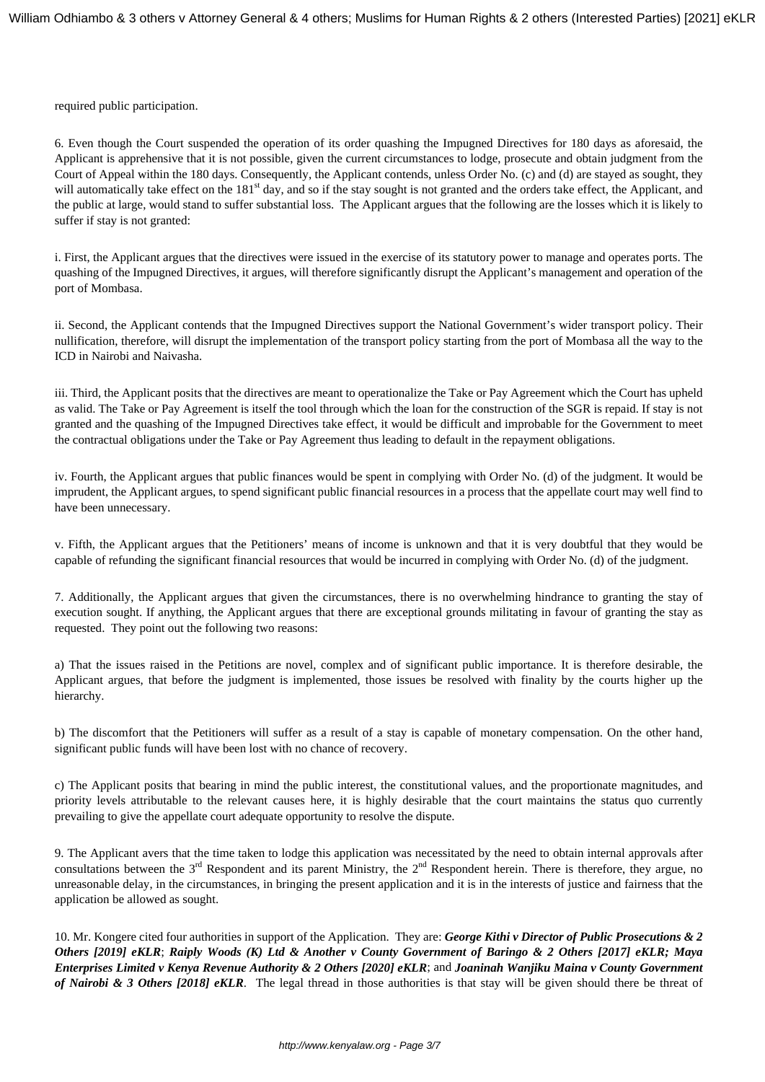required public participation.

6. Even though the Court suspended the operation of its order quashing the Impugned Directives for 180 days as aforesaid, the Applicant is apprehensive that it is not possible, given the current circumstances to lodge, prosecute and obtain judgment from the Court of Appeal within the 180 days. Consequently, the Applicant contends, unless Order No. (c) and (d) are stayed as sought, they will automatically take effect on the 181<sup>st</sup> day, and so if the stay sought is not granted and the orders take effect, the Applicant, and the public at large, would stand to suffer substantial loss. The Applicant argues that the following are the losses which it is likely to suffer if stay is not granted:

i. First, the Applicant argues that the directives were issued in the exercise of its statutory power to manage and operates ports. The quashing of the Impugned Directives, it argues, will therefore significantly disrupt the Applicant's management and operation of the port of Mombasa.

ii. Second, the Applicant contends that the Impugned Directives support the National Government's wider transport policy. Their nullification, therefore, will disrupt the implementation of the transport policy starting from the port of Mombasa all the way to the ICD in Nairobi and Naivasha.

iii. Third, the Applicant posits that the directives are meant to operationalize the Take or Pay Agreement which the Court has upheld as valid. The Take or Pay Agreement is itself the tool through which the loan for the construction of the SGR is repaid. If stay is not granted and the quashing of the Impugned Directives take effect, it would be difficult and improbable for the Government to meet the contractual obligations under the Take or Pay Agreement thus leading to default in the repayment obligations.

iv. Fourth, the Applicant argues that public finances would be spent in complying with Order No. (d) of the judgment. It would be imprudent, the Applicant argues, to spend significant public financial resources in a process that the appellate court may well find to have been unnecessary.

v. Fifth, the Applicant argues that the Petitioners' means of income is unknown and that it is very doubtful that they would be capable of refunding the significant financial resources that would be incurred in complying with Order No. (d) of the judgment.

7. Additionally, the Applicant argues that given the circumstances, there is no overwhelming hindrance to granting the stay of execution sought. If anything, the Applicant argues that there are exceptional grounds militating in favour of granting the stay as requested. They point out the following two reasons:

a) That the issues raised in the Petitions are novel, complex and of significant public importance. It is therefore desirable, the Applicant argues, that before the judgment is implemented, those issues be resolved with finality by the courts higher up the hierarchy.

b) The discomfort that the Petitioners will suffer as a result of a stay is capable of monetary compensation. On the other hand, significant public funds will have been lost with no chance of recovery.

c) The Applicant posits that bearing in mind the public interest, the constitutional values, and the proportionate magnitudes, and priority levels attributable to the relevant causes here, it is highly desirable that the court maintains the status quo currently prevailing to give the appellate court adequate opportunity to resolve the dispute.

9. The Applicant avers that the time taken to lodge this application was necessitated by the need to obtain internal approvals after consultations between the  $3<sup>rd</sup>$  Respondent and its parent Ministry, the  $2<sup>nd</sup>$  Respondent herein. There is therefore, they argue, no unreasonable delay, in the circumstances, in bringing the present application and it is in the interests of justice and fairness that the application be allowed as sought.

10. Mr. Kongere cited four authorities in support of the Application. They are: *George Kithi v Director of Public Prosecutions & 2 Others [2019] eKLR*; *Raiply Woods (K) Ltd & Another v County Government of Baringo & 2 Others [2017] eKLR; Maya Enterprises Limited v Kenya Revenue Authority & 2 Others [2020] eKLR*; and *Joaninah Wanjiku Maina v County Government of Nairobi & 3 Others [2018] eKLR*. The legal thread in those authorities is that stay will be given should there be threat of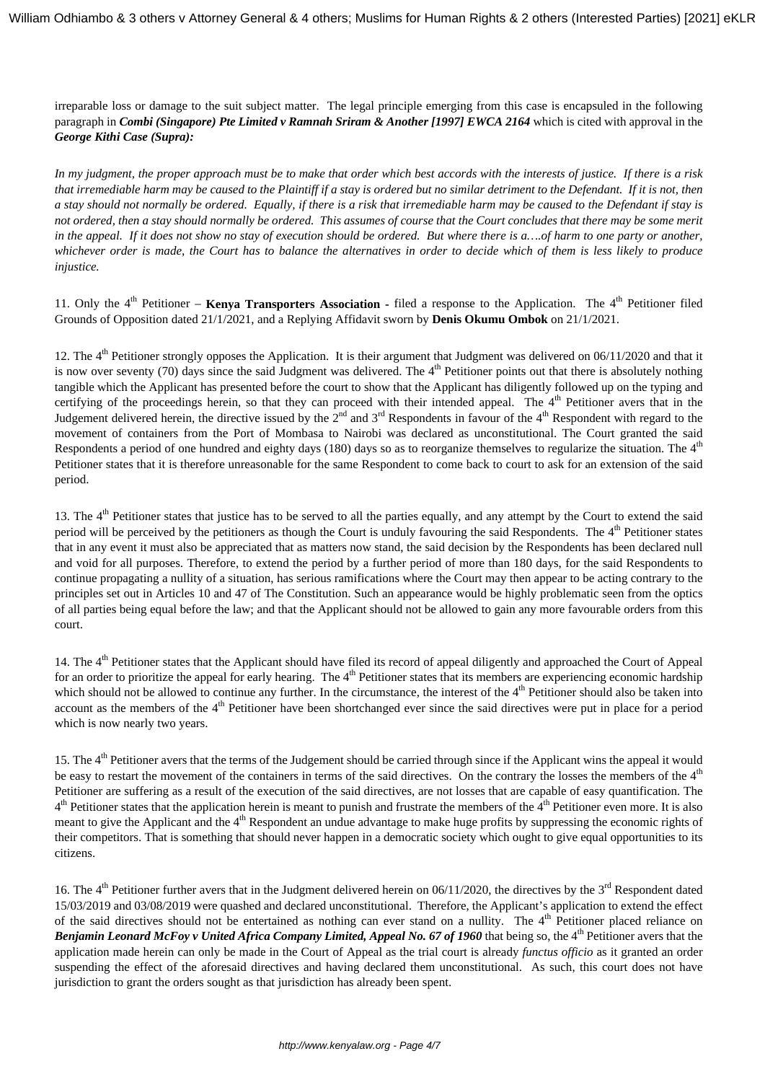irreparable loss or damage to the suit subject matter. The legal principle emerging from this case is encapsuled in the following paragraph in *Combi (Singapore) Pte Limited v Ramnah Sriram & Another [1997] EWCA 2164* which is cited with approval in the *George Kithi Case (Supra):*

*In my judgment, the proper approach must be to make that order which best accords with the interests of justice. If there is a risk that irremediable harm may be caused to the Plaintiff if a stay is ordered but no similar detriment to the Defendant. If it is not, then a stay should not normally be ordered. Equally, if there is a risk that irremediable harm may be caused to the Defendant if stay is not ordered, then a stay should normally be ordered. This assumes of course that the Court concludes that there may be some merit in the appeal. If it does not show no stay of execution should be ordered. But where there is a….of harm to one party or another, whichever order is made, the Court has to balance the alternatives in order to decide which of them is less likely to produce injustice.*

11. Only the 4<sup>th</sup> Petitioner – **Kenya Transporters Association -** filed a response to the Application. The 4<sup>th</sup> Petitioner filed Grounds of Opposition dated 21/1/2021, and a Replying Affidavit sworn by **Denis Okumu Ombok** on 21/1/2021.

12. The  $4<sup>th</sup>$  Petitioner strongly opposes the Application. It is their argument that Judgment was delivered on 06/11/2020 and that it is now over seventy (70) days since the said Judgment was delivered. The  $4<sup>th</sup>$  Petitioner points out that there is absolutely nothing tangible which the Applicant has presented before the court to show that the Applicant has diligently followed up on the typing and certifying of the proceedings herein, so that they can proceed with their intended appeal. The 4<sup>th</sup> Petitioner avers that in the Judgement delivered herein, the directive issued by the  $2<sup>nd</sup>$  and  $3<sup>rd</sup>$  Respondents in favour of the  $4<sup>th</sup>$  Respondent with regard to the movement of containers from the Port of Mombasa to Nairobi was declared as unconstitutional. The Court granted the said Respondents a period of one hundred and eighty days (180) days so as to reorganize themselves to regularize the situation. The  $4<sup>th</sup>$ Petitioner states that it is therefore unreasonable for the same Respondent to come back to court to ask for an extension of the said period.

13. The  $4<sup>th</sup>$  Petitioner states that justice has to be served to all the parties equally, and any attempt by the Court to extend the said period will be perceived by the petitioners as though the Court is unduly favouring the said Respondents. The 4<sup>th</sup> Petitioner states that in any event it must also be appreciated that as matters now stand, the said decision by the Respondents has been declared null and void for all purposes. Therefore, to extend the period by a further period of more than 180 days, for the said Respondents to continue propagating a nullity of a situation, has serious ramifications where the Court may then appear to be acting contrary to the principles set out in Articles 10 and 47 of The Constitution. Such an appearance would be highly problematic seen from the optics of all parties being equal before the law; and that the Applicant should not be allowed to gain any more favourable orders from this court.

14. The  $4<sup>th</sup>$  Petitioner states that the Applicant should have filed its record of appeal diligently and approached the Court of Appeal for an order to prioritize the appeal for early hearing. The 4<sup>th</sup> Petitioner states that its members are experiencing economic hardship which should not be allowed to continue any further. In the circumstance, the interest of the  $4<sup>th</sup>$  Petitioner should also be taken into account as the members of the  $4<sup>th</sup>$  Petitioner have been shortchanged ever since the said directives were put in place for a period which is now nearly two years.

15. The  $4<sup>th</sup>$  Petitioner avers that the terms of the Judgement should be carried through since if the Applicant wins the appeal it would be easy to restart the movement of the containers in terms of the said directives. On the contrary the losses the members of the 4<sup>th</sup> Petitioner are suffering as a result of the execution of the said directives, are not losses that are capable of easy quantification. The  $4<sup>th</sup>$  Petitioner states that the application herein is meant to punish and frustrate the members of the  $4<sup>th</sup>$  Petitioner even more. It is also meant to give the Applicant and the 4<sup>th</sup> Respondent an undue advantage to make huge profits by suppressing the economic rights of their competitors. That is something that should never happen in a democratic society which ought to give equal opportunities to its citizens.

16. The  $4<sup>th</sup>$  Petitioner further avers that in the Judgment delivered herein on 06/11/2020, the directives by the  $3<sup>rd</sup>$  Respondent dated 15/03/2019 and 03/08/2019 were quashed and declared unconstitutional. Therefore, the Applicant's application to extend the effect of the said directives should not be entertained as nothing can ever stand on a nullity. The 4<sup>th</sup> Petitioner placed reliance on *Benjamin Leonard McFoy v United Africa Company Limited, Appeal No. 67 of 1960* that being so, the 4<sup>th</sup> Petitioner avers that the application made herein can only be made in the Court of Appeal as the trial court is already *functus officio* as it granted an order suspending the effect of the aforesaid directives and having declared them unconstitutional. As such, this court does not have jurisdiction to grant the orders sought as that jurisdiction has already been spent.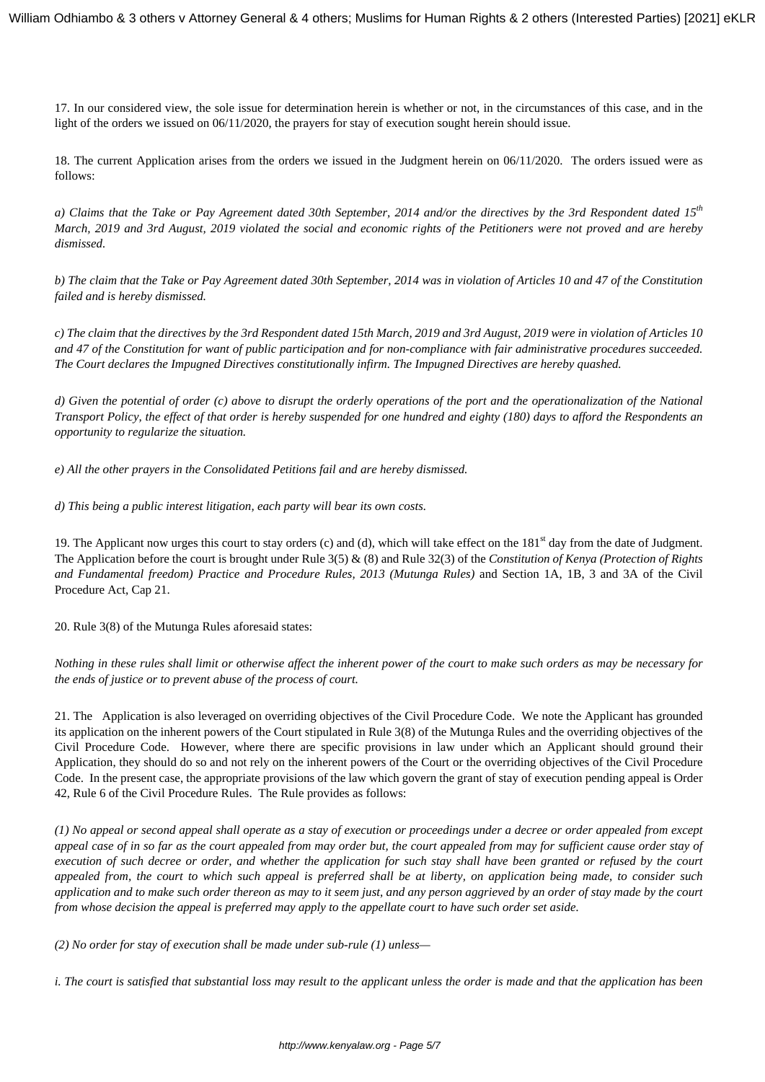17. In our considered view, the sole issue for determination herein is whether or not, in the circumstances of this case, and in the light of the orders we issued on 06/11/2020, the prayers for stay of execution sought herein should issue.

18. The current Application arises from the orders we issued in the Judgment herein on 06/11/2020. The orders issued were as follows:

*a) Claims that the Take or Pay Agreement dated 30th September, 2014 and/or the directives by the 3rd Respondent dated 15th March, 2019 and 3rd August, 2019 violated the social and economic rights of the Petitioners were not proved and are hereby dismissed.*

*b) The claim that the Take or Pay Agreement dated 30th September, 2014 was in violation of Articles 10 and 47 of the Constitution failed and is hereby dismissed.*

*c) The claim that the directives by the 3rd Respondent dated 15th March, 2019 and 3rd August, 2019 were in violation of Articles 10 and 47 of the Constitution for want of public participation and for non-compliance with fair administrative procedures succeeded. The Court declares the Impugned Directives constitutionally infirm. The Impugned Directives are hereby quashed.*

*d) Given the potential of order (c) above to disrupt the orderly operations of the port and the operationalization of the National Transport Policy, the effect of that order is hereby suspended for one hundred and eighty (180) days to afford the Respondents an opportunity to regularize the situation.*

*e) All the other prayers in the Consolidated Petitions fail and are hereby dismissed.*

*d) This being a public interest litigation, each party will bear its own costs.*

19. The Applicant now urges this court to stay orders (c) and (d), which will take effect on the 181<sup>st</sup> day from the date of Judgment. The Application before the court is brought under Rule 3(5) & (8) and Rule 32(3) of the *Constitution of Kenya (Protection of Rights and Fundamental freedom) Practice and Procedure Rules, 2013 (Mutunga Rules)* and Section 1A, 1B, 3 and 3A of the Civil Procedure Act, Cap 21.

20. Rule 3(8) of the Mutunga Rules aforesaid states:

*Nothing in these rules shall limit or otherwise affect the inherent power of the court to make such orders as may be necessary for the ends of justice or to prevent abuse of the process of court.*

21. The Application is also leveraged on overriding objectives of the Civil Procedure Code. We note the Applicant has grounded its application on the inherent powers of the Court stipulated in Rule 3(8) of the Mutunga Rules and the overriding objectives of the Civil Procedure Code. However, where there are specific provisions in law under which an Applicant should ground their Application, they should do so and not rely on the inherent powers of the Court or the overriding objectives of the Civil Procedure Code. In the present case, the appropriate provisions of the law which govern the grant of stay of execution pending appeal is Order 42, Rule 6 of the Civil Procedure Rules. The Rule provides as follows:

*(1) No appeal or second appeal shall operate as a stay of execution or proceedings under a decree or order appealed from except appeal case of in so far as the court appealed from may order but, the court appealed from may for sufficient cause order stay of execution of such decree or order, and whether the application for such stay shall have been granted or refused by the court appealed from, the court to which such appeal is preferred shall be at liberty, on application being made, to consider such application and to make such order thereon as may to it seem just, and any person aggrieved by an order of stay made by the court from whose decision the appeal is preferred may apply to the appellate court to have such order set aside.*

*(2) No order for stay of execution shall be made under sub-rule (1) unless—*

*i. The court is satisfied that substantial loss may result to the applicant unless the order is made and that the application has been*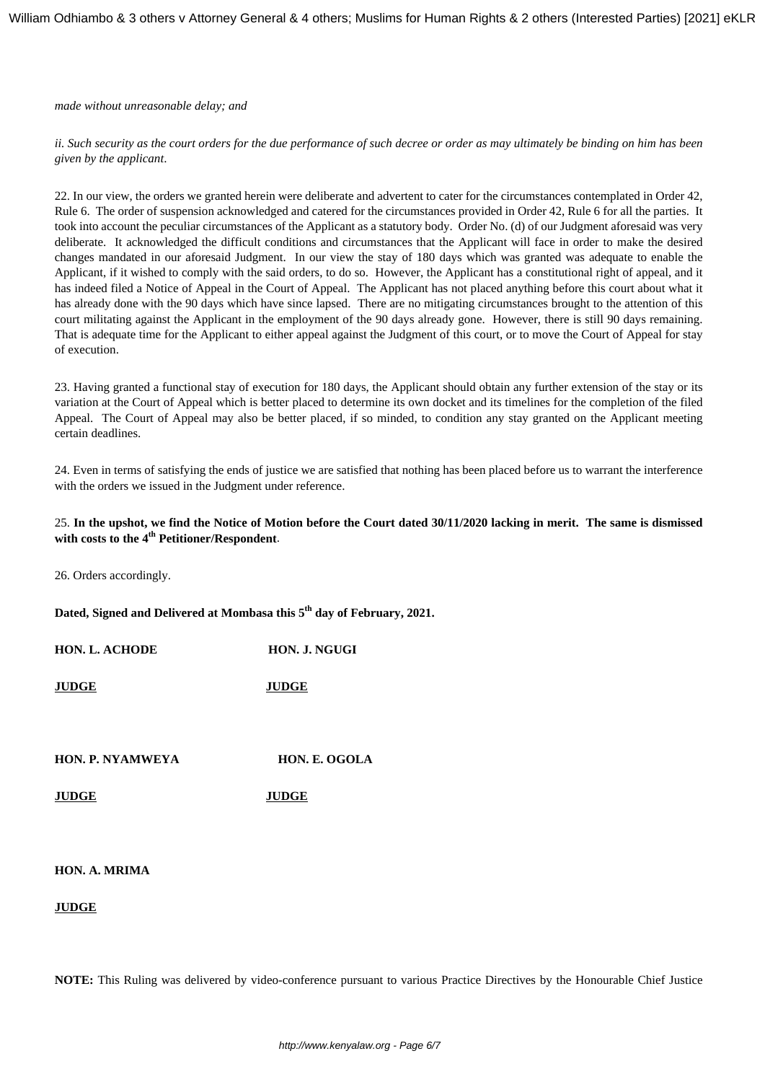*made without unreasonable delay; and*

*ii. Such security as the court orders for the due performance of such decree or order as may ultimately be binding on him has been given by the applicant*.

22. In our view, the orders we granted herein were deliberate and advertent to cater for the circumstances contemplated in Order 42, Rule 6. The order of suspension acknowledged and catered for the circumstances provided in Order 42, Rule 6 for all the parties. It took into account the peculiar circumstances of the Applicant as a statutory body. Order No. (d) of our Judgment aforesaid was very deliberate. It acknowledged the difficult conditions and circumstances that the Applicant will face in order to make the desired changes mandated in our aforesaid Judgment. In our view the stay of 180 days which was granted was adequate to enable the Applicant, if it wished to comply with the said orders, to do so. However, the Applicant has a constitutional right of appeal, and it has indeed filed a Notice of Appeal in the Court of Appeal. The Applicant has not placed anything before this court about what it has already done with the 90 days which have since lapsed. There are no mitigating circumstances brought to the attention of this court militating against the Applicant in the employment of the 90 days already gone. However, there is still 90 days remaining. That is adequate time for the Applicant to either appeal against the Judgment of this court, or to move the Court of Appeal for stay of execution.

23. Having granted a functional stay of execution for 180 days, the Applicant should obtain any further extension of the stay or its variation at the Court of Appeal which is better placed to determine its own docket and its timelines for the completion of the filed Appeal. The Court of Appeal may also be better placed, if so minded, to condition any stay granted on the Applicant meeting certain deadlines.

24. Even in terms of satisfying the ends of justice we are satisfied that nothing has been placed before us to warrant the interference with the orders we issued in the Judgment under reference.

#### 25. **In the upshot, we find the Notice of Motion before the Court dated 30/11/2020 lacking in merit. The same is dismissed with costs to the 4th Petitioner/Respondent**.

26. Orders accordingly.

**Dated, Signed and Delivered at Mombasa this 5th day of February, 2021.**

**HON. L. ACHODE HON. J. NGUGI**

**JUDGE JUDGE**

**HON. P. NYAMWEYA HON. E. OGOLA**

**JUDGE JUDGE**

#### **HON. A. MRIMA**

#### **JUDGE**

**NOTE:** This Ruling was delivered by video-conference pursuant to various Practice Directives by the Honourable Chief Justice